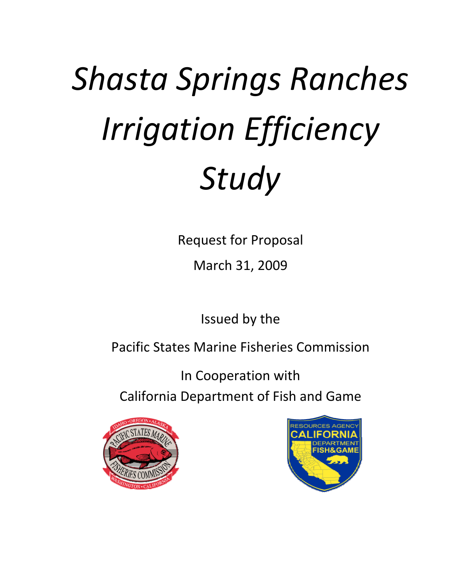# *(b) Shasta Springs Ranches Irrigation Efficiency Study*

Request for Proposal

March 31, 2009

Issued by the

Pacific States Marine Fisheries Commission

In Cooperation with California Department of Fish and Game



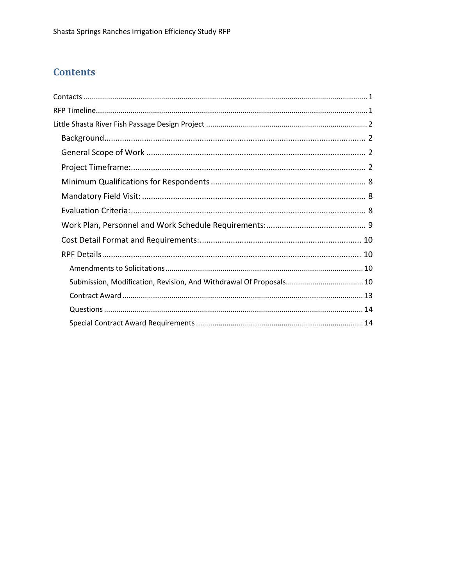# **Contents**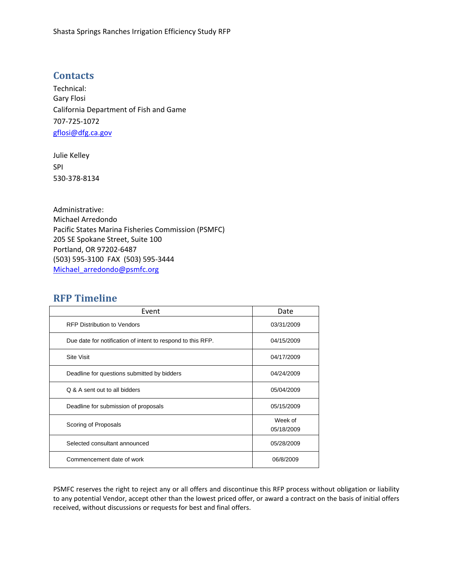# <span id="page-2-0"></span>**Contacts**

Technical: Gary Flosi California Department of Fish and Game 707‐725‐1072 gflosi@dfg.ca.gov

Julie Kelley SPI 530‐378‐8134

Administrative: Michael Arredondo Pacific States Marina Fisheries Commission (PSMFC) 205 SE Spokane Street, Suite 100 Portland, OR 97202‐6487 (503) 595‐3100 FAX (503) 595‐3444 Michael arredondo@psmfc.org

# **RFP Timeline**

| Event                                                       | Date                  |
|-------------------------------------------------------------|-----------------------|
| <b>RFP Distribution to Vendors</b>                          | 03/31/2009            |
| Due date for notification of intent to respond to this RFP. | 04/15/2009            |
| <b>Site Visit</b>                                           | 04/17/2009            |
| Deadline for questions submitted by bidders                 | 04/24/2009            |
| Q & A sent out to all bidders                               | 05/04/2009            |
| Deadline for submission of proposals                        | 05/15/2009            |
| Scoring of Proposals                                        | Week of<br>05/18/2009 |
| Selected consultant announced                               | 05/28/2009            |
| Commencement date of work                                   | 06/8/2009             |

PSMFC reserves the right to reject any or all offers and discontinue this RFP process without obligation or liability to any potential Vendor, accept other than the lowest priced offer, or award a contract on the basis of initial offers received, without discussions or requests for best and final offers.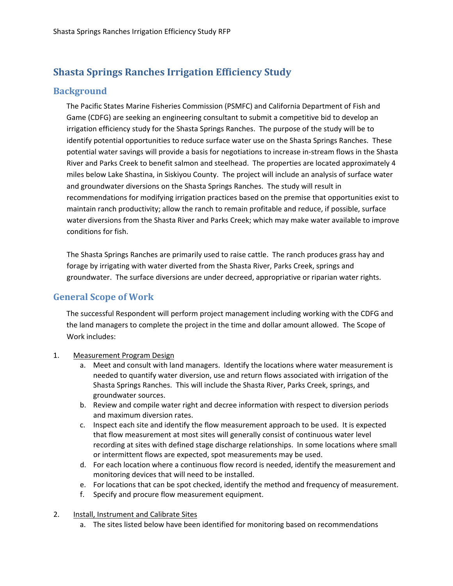# <span id="page-3-0"></span>**Shasta Springs Ranches Irrigation Efficiency Study**

# **Background**

The Pacific States Marine Fisheries Commission (PSMFC) and California Department of Fish and Game (CDFG) are seeking an engineering consultant to submit a competitive bid to develop an irrigation efficiency study for the Shasta Springs Ranches. The purpose of the study will be to identify potential opportunities to reduce surface water use on the Shasta Springs Ranches. These potential water savings will provide a basis for negotiations to increase in‐stream flows in the Shasta River and Parks Creek to benefit salmon and steelhead. The properties are located approximately 4 miles below Lake Shastina, in Siskiyou County. The project will include an analysis of surface water and groundwater diversions on the Shasta Springs Ranches. The study will result in recommendations for modifying irrigation practices based on the premise that opportunities exist to maintain ranch productivity; allow the ranch to remain profitable and reduce, if possible, surface water diversions from the Shasta River and Parks Creek; which may make water available to improve conditions for fish.

The Shasta Springs Ranches are primarily used to raise cattle. The ranch produces grass hay and forage by irrigating with water diverted from the Shasta River, Parks Creek, springs and groundwater. The surface diversions are under decreed, appropriative or riparian water rights.

# **General Scope of Work**

The successful Respondent will perform project management including working with the CDFG and the land managers to complete the project in the time and dollar amount allowed. The Scope of Work includes:

- 1. Measurement Program Design
	- a. Meet and consult with land managers. Identify the locations where water measurement is needed to quantify water diversion, use and return flows associated with irrigation of the Shasta Springs Ranches. This will include the Shasta River, Parks Creek, springs, and groundwater sources.
	- b. Review and compile water right and decree information with respect to diversion periods and maximum diversion rates.
	- c. Inspect each site and identify the flow measurement approach to be used. It is expected that flow measurement at most sites will generally consist of continuous water level recording at sites with defined stage discharge relationships. In some locations where small or intermittent flows are expected, spot measurements may be used.
	- d. For each location where a continuous flow record is needed, identify the measurement and monitoring devices that will need to be installed.
	- e. For locations that can be spot checked, identify the method and frequency of measurement.
	- f. Specify and procure flow measurement equipment.
- 2. Install, Instrument and Calibrate Sites
	- a. The sites listed below have been identified for monitoring based on recommendations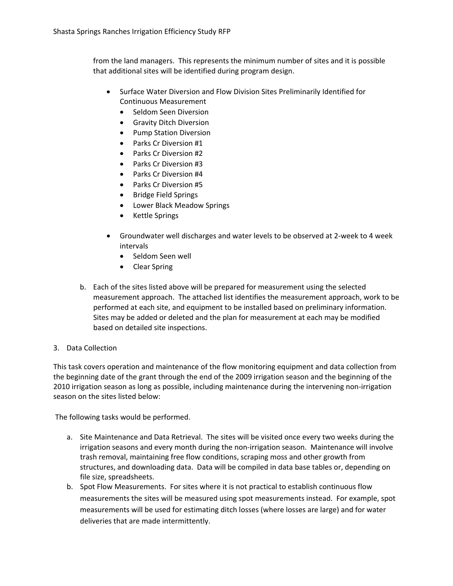from the land managers. This represents the minimum number of sites and it is possible that additional sites will be identified during program design.

- Surface Water Diversion and Flow Division Sites Preliminarily Identified for Continuous Measurement
	- Seldom Seen Diversion
	- Gravity Ditch Diversion
	- Pump Station Diversion
	- Parks Cr Diversion #1
	- Parks Cr Diversion #2
	- Parks Cr Diversion #3
	- Parks Cr Diversion #4
	- Parks Cr Diversion #5
	- Bridge Field Springs
	- Lower Black Meadow Springs
	- Kettle Springs
- Groundwater well discharges and water levels to be observed at 2‐week to 4 week intervals
	- Seldom Seen well
	- Clear Spring
- b. Each of the sites listed above will be prepared for measurement using the selected measurement approach. The attached list identifies the measurement approach, work to be performed at each site, and equipment to be installed based on preliminary information. Sites may be added or deleted and the plan for measurement at each may be modified based on detailed site inspections.
- 3. Data Collection

This task covers operation and maintenance of the flow monitoring equipment and data collection from the beginning date of the grant through the end of the 2009 irrigation season and the beginning of the 2010 irrigation season as long as possible, including maintenance during the intervening non-irrigation season on the sites listed below:

The following tasks would be performed.

- a. Site Maintenance and Data Retrieval. The sites will be visited once every two weeks during the irrigation seasons and every month during the non-irrigation season. Maintenance will involve trash removal, maintaining free flow conditions, scraping moss and other growth from structures, and downloading data. Data will be compiled in data base tables or, depending on file size, spreadsheets.
- b. Spot Flow Measurements. For sites where it is not practical to establish continuous flow measurements the sites will be measured using spot measurements instead. For example, spot measurements will be used for estimating ditch losses (where losses are large) and for water deliveries that are made intermittently.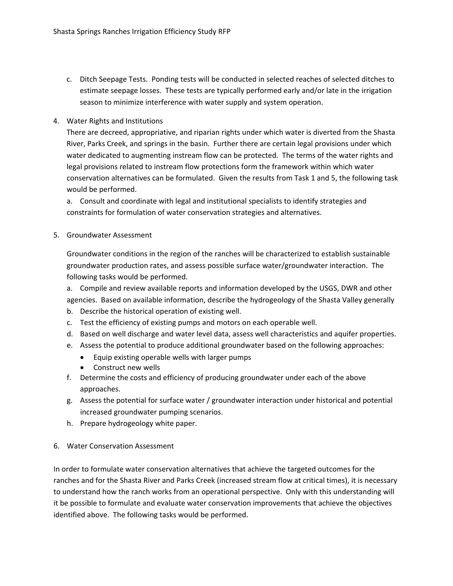- c. Ditch Seepage Tests. Ponding tests will be conducted in selected reaches of selected ditches to estimate seepage losses. These tests are typically performed early and/or late in the irrigation season to minimize interference with water supply and system operation.
- 4. Water Rights and Institutions

There are decreed, appropriative, and riparian rights under which water is diverted from the Shasta River, Parks Creek, and springs in the basin. Further there are certain legal provisions under which water dedicated to augmenting instream flow can be protected. The terms of the water rights and legal provisions related to instream flow protections form the framework within which water conservation alternatives can be formulated. Given the results from Task 1 and 5, the following task would be performed.

a. Consult and coordinate with legal and institutional specialists to identify strategies and constraints for formulation of water conservation strategies and alternatives.

5. Groundwater Assessment

Groundwater conditions in the region of the ranches will be characterized to establish sustainable groundwater production rates, and assess possible surface water/groundwater interaction. The following tasks would be performed.

a. Compile and review available reports and information developed by the USGS, DWR and other agencies. Based on available information, describe the hydrogeology of the Shasta Valley generally

- b. Describe the historical operation of existing well.
- c. Test the efficiency of existing pumps and motors on each operable well.
- d. Based on well discharge and water level data, assess well characteristics and aquifer properties.
- e. Assess the potential to produce additional groundwater based on the following approaches:
	- Equip existing operable wells with larger pumps
	- Construct new wells
- f. Determine the costs and efficiency of producing groundwater under each of the above approaches.
- g. Assess the potential for surface water / groundwater interaction under historical and potential increased groundwater pumping scenarios.
- h. Prepare hydrogeology white paper.
- 6. Water Conservation Assessment

In order to formulate water conservation alternatives that achieve the targeted outcomes for the ranches and for the Shasta River and Parks Creek (increased stream flow at critical times), it is necessary to understand how the ranch works from an operational perspective. Only with this understanding will it be possible to formulate and evaluate water conservation improvements that achieve the objectives identified above. The following tasks would be performed.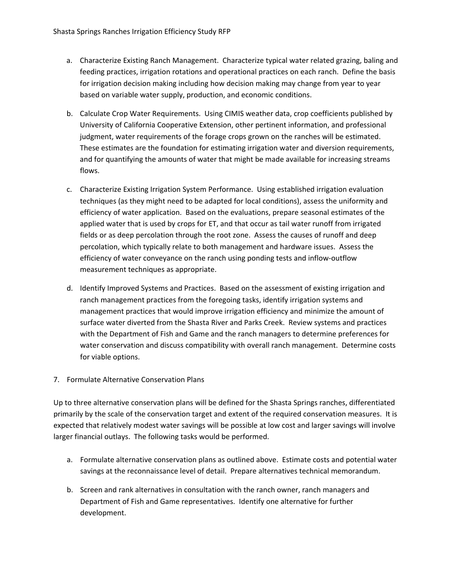- a. Characterize Existing Ranch Management. Characterize typical water related grazing, baling and feeding practices, irrigation rotations and operational practices on each ranch. Define the basis for irrigation decision making including how decision making may change from year to year based on variable water supply, production, and economic conditions.
- b. Calculate Crop Water Requirements. Using CIMIS weather data, crop coefficients published by University of California Cooperative Extension, other pertinent information, and professional judgment, water requirements of the forage crops grown on the ranches will be estimated. These estimates are the foundation for estimating irrigation water and diversion requirements, and for quantifying the amounts of water that might be made available for increasing streams flows.
- c. Characterize Existing Irrigation System Performance. Using established irrigation evaluation techniques (as they might need to be adapted for local conditions), assess the uniformity and efficiency of water application. Based on the evaluations, prepare seasonal estimates of the applied water that is used by crops for ET, and that occur as tail water runoff from irrigated fields or as deep percolation through the root zone. Assess the causes of runoff and deep percolation, which typically relate to both management and hardware issues. Assess the efficiency of water conveyance on the ranch using ponding tests and inflow‐outflow measurement techniques as appropriate.
- d. Identify Improved Systems and Practices. Based on the assessment of existing irrigation and ranch management practices from the foregoing tasks, identify irrigation systems and management practices that would improve irrigation efficiency and minimize the amount of surface water diverted from the Shasta River and Parks Creek. Review systems and practices with the Department of Fish and Game and the ranch managers to determine preferences for water conservation and discuss compatibility with overall ranch management. Determine costs for viable options.
- 7. Formulate Alternative Conservation Plans

Up to three alternative conservation plans will be defined for the Shasta Springs ranches, differentiated primarily by the scale of the conservation target and extent of the required conservation measures. It is expected that relatively modest water savings will be possible at low cost and larger savings will involve larger financial outlays. The following tasks would be performed.

- a. Formulate alternative conservation plans as outlined above. Estimate costs and potential water savings at the reconnaissance level of detail. Prepare alternatives technical memorandum.
- b. Screen and rank alternatives in consultation with the ranch owner, ranch managers and Department of Fish and Game representatives. Identify one alternative for further development.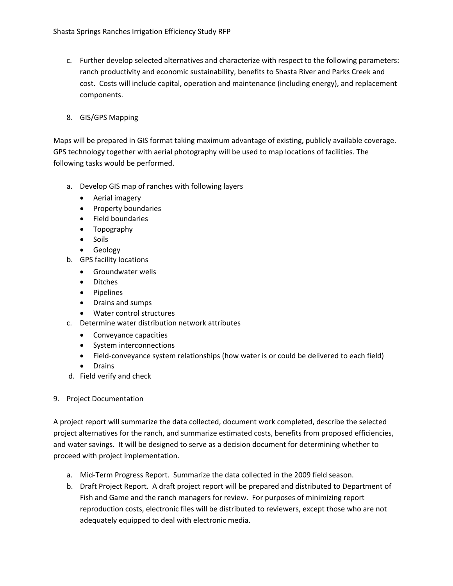- c. Further develop selected alternatives and characterize with respect to the following parameters: ranch productivity and economic sustainability, benefits to Shasta River and Parks Creek and cost. Costs will include capital, operation and maintenance (including energy), and replacement components.
- 8. GIS/GPS Mapping

Maps will be prepared in GIS format taking maximum advantage of existing, publicly available coverage. GPS technology together with aerial photography will be used to map locations of facilities. The following tasks would be performed.

- a. Develop GIS map of ranches with following layers
	- Aerial imagery
	- Property boundaries
	- Field boundaries
	- Topography
	- Soils
	- Geology
- b. GPS facility locations
	- Groundwater wells
	- Ditches
	- Pipelines
	- Drains and sumps
	- Water control structures
- c. Determine water distribution network attributes
	- Conveyance capacities
	- System interconnections
	- Field-conveyance system relationships (how water is or could be delivered to each field)
	- Drains
- d. Field verify and check

#### 9. Project Documentation

A project report will summarize the data collected, document work completed, describe the selected project alternatives for the ranch, and summarize estimated costs, benefits from proposed efficiencies, and water savings. It will be designed to serve as a decision document for determining whether to proceed with project implementation.

- a. Mid‐Term Progress Report. Summarize the data collected in the 2009 field season.
- b. Draft Project Report. A draft project report will be prepared and distributed to Department of Fish and Game and the ranch managers for review. For purposes of minimizing report reproduction costs, electronic files will be distributed to reviewers, except those who are not adequately equipped to deal with electronic media.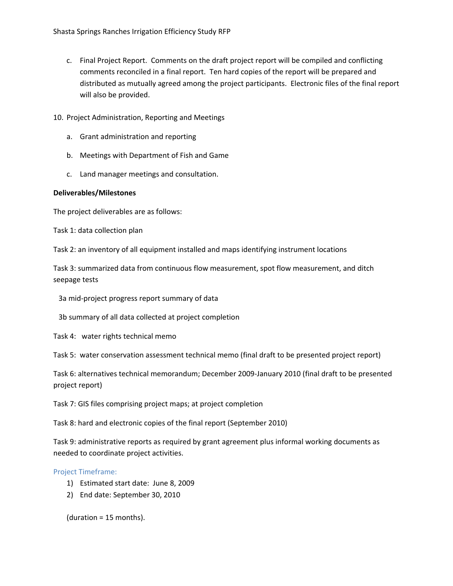- <span id="page-8-0"></span>c. Final Project Report. Comments on the draft project report will be compiled and conflicting comments reconciled in a final report. Ten hard copies of the report will be prepared and distributed as mutually agreed among the project participants. Electronic files of the final report will also be provided.
- 10. Project Administration, Reporting and Meetings
	- a. Grant administration and reporting
	- b. Meetings with Department of Fish and Game
	- c. Land manager meetings and consultation.

#### **Deliverables/Milestones**

The project deliverables are as follows:

Task 1: data collection plan

Task 2: an inventory of all equipment installed and maps identifying instrument locations

Task 3: summarized data from continuous flow measurement, spot flow measurement, and ditch seepage tests

3a mid‐project progress report summary of data

3b summary of all data collected at project completion

Task 4: water rights technical memo

Task 5: water conservation assessment technical memo (final draft to be presented project report)

Task 6: alternatives technical memorandum; December 2009‐January 2010 (final draft to be presented project report)

Task 7: GIS files comprising project maps; at project completion

Task 8: hard and electronic copies of the final report (September 2010)

Task 9: administrative reports as required by grant agreement plus informal working documents as needed to coordinate project activities.

#### Project Timeframe:

- 1) Estimated start date: June 8, 2009
- 2) End date: September 30, 2010

(duration = 15 months).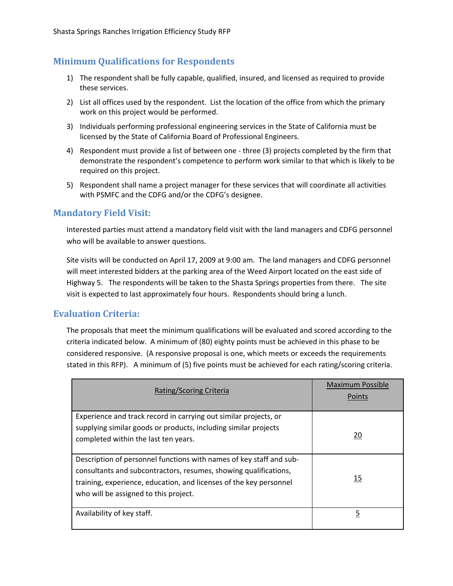# <span id="page-9-0"></span>**Minimum Qualifications for Respondents**

- 1) The respondent shall be fully capable, qualified, insured, and licensed as required to provide these services.
- 2) List all offices used by the respondent. List the location of the office from which the primary work on this project would be performed.
- 3) Individuals performing professional engineering services in the State of California must be licensed by the State of California Board of Professional Engineers.
- 4) Respondent must provide a list of between one three (3) projects completed by the firm that demonstrate the respondent's competence to perform work similar to that which is likely to be required on this project.
- 5) Respondent shall name a project manager for these services that will coordinate all activities with PSMFC and the CDFG and/or the CDFG's designee.

# **Mandatory Field Visit:**

Interested parties must attend a mandatory field visit with the land managers and CDFG personnel who will be available to answer questions.

Site visits will be conducted on April 17, 2009 at 9:00 am. The land managers and CDFG personnel will meet interested bidders at the parking area of the Weed Airport located on the east side of Highway 5. The respondents will be taken to the Shasta Springs properties from there. The site visit is expected to last approximately four hours. Respondents should bring a lunch.

# **Evaluation Criteria:**

The proposals that meet the minimum qualifications will be evaluated and scored according to the criteria indicated below. A minimum of (80) eighty points must be achieved in this phase to be considered responsive. (A responsive proposal is one, which meets or exceeds the requirements stated in this RFP). A minimum of (5) five points must be achieved for each rating/scoring criteria.

| Rating/Scoring Criteria                                                                                                                                                                                                                                | <b>Maximum Possible</b><br><b>Points</b> |
|--------------------------------------------------------------------------------------------------------------------------------------------------------------------------------------------------------------------------------------------------------|------------------------------------------|
| Experience and track record in carrying out similar projects, or<br>supplying similar goods or products, including similar projects<br>completed within the last ten years.                                                                            | 20                                       |
| Description of personnel functions with names of key staff and sub-<br>consultants and subcontractors, resumes, showing qualifications,<br>training, experience, education, and licenses of the key personnel<br>who will be assigned to this project. | 15                                       |
| Availability of key staff.                                                                                                                                                                                                                             | 5                                        |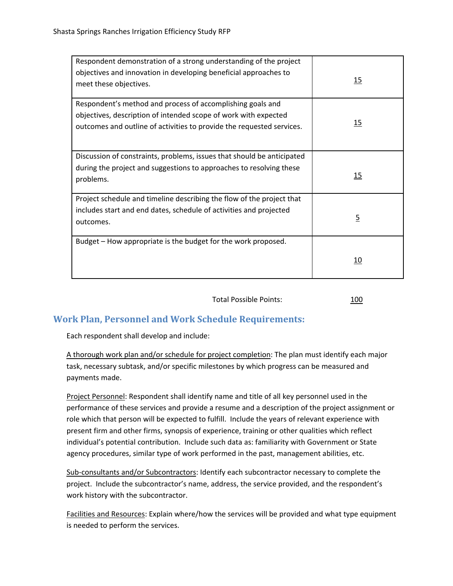<span id="page-10-0"></span>

| Respondent demonstration of a strong understanding of the project<br>objectives and innovation in developing beneficial approaches to<br>meet these objectives.                                        | 15             |
|--------------------------------------------------------------------------------------------------------------------------------------------------------------------------------------------------------|----------------|
| Respondent's method and process of accomplishing goals and<br>objectives, description of intended scope of work with expected<br>outcomes and outline of activities to provide the requested services. | 15             |
| Discussion of constraints, problems, issues that should be anticipated<br>during the project and suggestions to approaches to resolving these<br>problems.                                             | 15             |
| Project schedule and timeline describing the flow of the project that<br>includes start and end dates, schedule of activities and projected<br>outcomes.                                               | $\overline{5}$ |
| Budget - How appropriate is the budget for the work proposed.                                                                                                                                          | 10             |

Total Possible Points: 100

# **Work Plan, Personnel and Work Schedule Requirements:**

Each respondent shall develop and include:

A thorough work plan and/or schedule for project completion: The plan must identify each major task, necessary subtask, and/or specific milestones by which progress can be measured and payments made.

Project Personnel: Respondent shall identify name and title of all key personnel used in the performance of these services and provide a resume and a description of the project assignment or role which that person will be expected to fulfill. Include the years of relevant experience with present firm and other firms, synopsis of experience, training or other qualities which reflect individual's potential contribution. Include such data as: familiarity with Government or State agency procedures, similar type of work performed in the past, management abilities, etc.

Sub-consultants and/or Subcontractors: Identify each subcontractor necessary to complete the project. Include the subcontractor's name, address, the service provided, and the respondent's work history with the subcontractor.

Facilities and Resources: Explain where/how the services will be provided and what type equipment is needed to perform the services.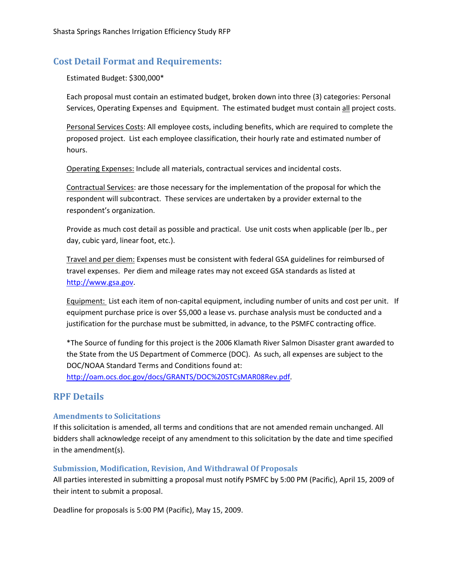## <span id="page-11-0"></span>**Cost Detail Format and Requirements:**

Estimated Budget: \$300,000\*

Each proposal must contain an estimated budget, broken down into three (3) categories: Personal Services, Operating Expenses and Equipment. The estimated budget must contain all project costs.

Personal Services Costs: All employee costs, including benefits, which are required to complete the proposed project. List each employee classification, their hourly rate and estimated number of hours.

Operating Expenses: Include all materials, contractual services and incidental costs.

Contractual Services: are those necessary for the implementation of the proposal for which the respondent will subcontract. These services are undertaken by a provider external to the respondent's organization.

Provide as much cost detail as possible and practical. Use unit costs when applicable (per lb., per day, cubic yard, linear foot, etc.).

Travel and per diem: Expenses must be consistent with federal GSA guidelines for reimbursed of travel expenses. Per diem and mileage rates may not exceed GSA standards as listed at [http://www.gsa.gov](http://www.gsa.gov/).

Equipment: List each item of non‐capital equipment, including number of units and cost per unit. If equipment purchase price is over \$5,000 a lease vs. purchase analysis must be conducted and a justification for the purchase must be submitted, in advance, to the PSMFC contracting office.

\*The Source of funding for this project is the 2006 Klamath River Salmon Disaster grant awarded to the State from the US Department of Commerce (DOC). As such, all expenses are subject to the DOC/NOAA Standard Terms and Conditions found at: <http://oam.ocs.doc.gov/docs/GRANTS/DOC%20STCsMAR08Rev.pdf>.

# **RPF Details**

#### **Amendments to Solicitations**

If this solicitation is amended, all terms and conditions that are not amended remain unchanged. All bidders shall acknowledge receipt of any amendment to this solicitation by the date and time specified in the amendment(s).

#### **Submission, Modification, Revision, And Withdrawal Of Proposals**

All parties interested in submitting a proposal must notify PSMFC by 5:00 PM (Pacific), April 15, 2009 of their intent to submit a proposal.

Deadline for proposals is 5:00 PM (Pacific), May 15, 2009.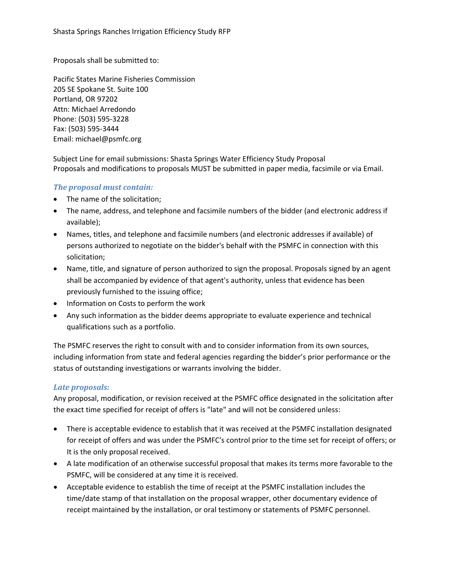Proposals shall be submitted to:

Pacific States Marine Fisheries Commission 205 SE Spokane St. Suite 100 Portland, OR 97202 Attn: Michael Arredondo Phone: (503) 595‐3228 Fax: (503) 595‐3444 Email: michael@psmfc.org

Subject Line for email submissions: Shasta Springs Water Efficiency Study Proposal Proposals and modifications to proposals MUST be submitted in paper media, facsimile or via Email.

## *The proposal must contain:*

- The name of the solicitation;
- The name, address, and telephone and facsimile numbers of the bidder (and electronic address if available);
- Names, titles, and telephone and facsimile numbers (and electronic addresses if available) of persons authorized to negotiate on the bidder's behalf with the PSMFC in connection with this solicitation;
- Name, title, and signature of person authorized to sign the proposal. Proposals signed by an agent shall be accompanied by evidence of that agent's authority, unless that evidence has been previously furnished to the issuing office;
- Information on Costs to perform the work
- Any such information as the bidder deems appropriate to evaluate experience and technical qualifications such as a portfolio.

The PSMFC reserves the right to consult with and to consider information from its own sources, including information from state and federal agencies regarding the bidder's prior performance or the status of outstanding investigations or warrants involving the bidder.

## *Late proposals:*

Any proposal, modification, or revision received at the PSMFC office designated in the solicitation after the exact time specified for receipt of offers is "late" and will not be considered unless:

- There is acceptable evidence to establish that it was received at the PSMFC installation designated for receipt of offers and was under the PSMFC's control prior to the time set for receipt of offers; or It is the only proposal received.
- A late modification of an otherwise successful proposal that makes its terms more favorable to the PSMFC, will be considered at any time it is received.
- Acceptable evidence to establish the time of receipt at the PSMFC installation includes the time/date stamp of that installation on the proposal wrapper, other documentary evidence of receipt maintained by the installation, or oral testimony or statements of PSMFC personnel.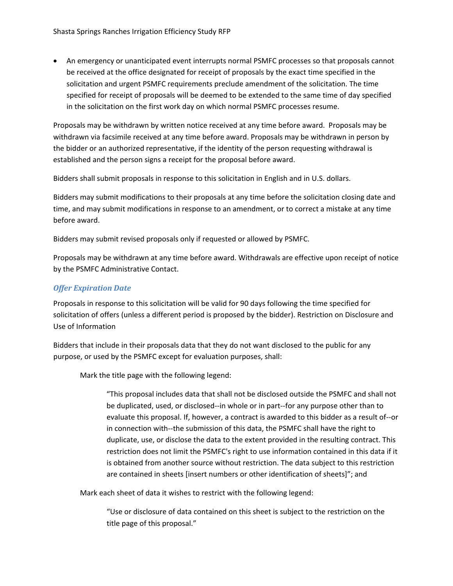• An emergency or unanticipated event interrupts normal PSMFC processes so that proposals cannot be received at the office designated for receipt of proposals by the exact time specified in the solicitation and urgent PSMFC requirements preclude amendment of the solicitation. The time specified for receipt of proposals will be deemed to be extended to the same time of day specified in the solicitation on the first work day on which normal PSMFC processes resume.

Proposals may be withdrawn by written notice received at any time before award. Proposals may be withdrawn via facsimile received at any time before award. Proposals may be withdrawn in person by the bidder or an authorized representative, if the identity of the person requesting withdrawal is established and the person signs a receipt for the proposal before award.

Bidders shall submit proposals in response to this solicitation in English and in U.S. dollars.

Bidders may submit modifications to their proposals at any time before the solicitation closing date and time, and may submit modifications in response to an amendment, or to correct a mistake at any time before award.

Bidders may submit revised proposals only if requested or allowed by PSMFC.

Proposals may be withdrawn at any time before award. Withdrawals are effective upon receipt of notice by the PSMFC Administrative Contact.

## *Offer Expiration Date*

Proposals in response to this solicitation will be valid for 90 days following the time specified for solicitation of offers (unless a different period is proposed by the bidder). Restriction on Disclosure and Use of Information

Bidders that include in their proposals data that they do not want disclosed to the public for any purpose, or used by the PSMFC except for evaluation purposes, shall:

Mark the title page with the following legend:

"This proposal includes data that shall not be disclosed outside the PSMFC and shall not be duplicated, used, or disclosed‐‐in whole or in part‐‐for any purpose other than to evaluate this proposal. If, however, a contract is awarded to this bidder as a result of‐‐or in connection with‐‐the submission of this data, the PSMFC shall have the right to duplicate, use, or disclose the data to the extent provided in the resulting contract. This restriction does not limit the PSMFC's right to use information contained in this data if it is obtained from another source without restriction. The data subject to this restriction are contained in sheets [insert numbers or other identification of sheets]"; and

Mark each sheet of data it wishes to restrict with the following legend:

"Use or disclosure of data contained on this sheet is subject to the restriction on the title page of this proposal."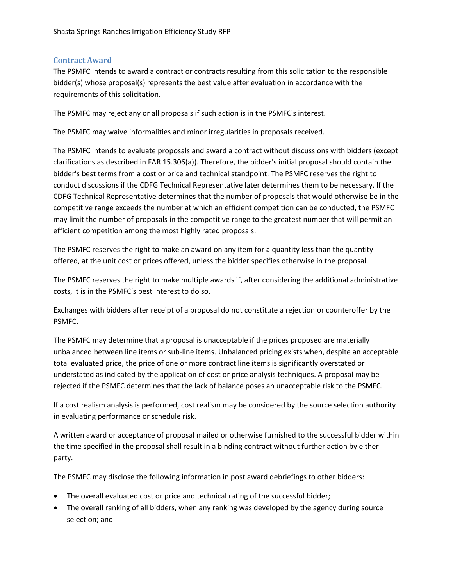### <span id="page-14-0"></span>**Contract Award**

The PSMFC intends to award a contract or contracts resulting from this solicitation to the responsible bidder(s) whose proposal(s) represents the best value after evaluation in accordance with the requirements of this solicitation.

The PSMFC may reject any or all proposals if such action is in the PSMFC's interest.

The PSMFC may waive informalities and minor irregularities in proposals received.

The PSMFC intends to evaluate proposals and award a contract without discussions with bidders (except clarifications as described in FAR 15.306(a)). Therefore, the bidder's initial proposal should contain the bidder's best terms from a cost or price and technical standpoint. The PSMFC reserves the right to conduct discussions if the CDFG Technical Representative later determines them to be necessary. If the CDFG Technical Representative determines that the number of proposals that would otherwise be in the competitive range exceeds the number at which an efficient competition can be conducted, the PSMFC may limit the number of proposals in the competitive range to the greatest number that will permit an efficient competition among the most highly rated proposals.

The PSMFC reserves the right to make an award on any item for a quantity less than the quantity offered, at the unit cost or prices offered, unless the bidder specifies otherwise in the proposal.

The PSMFC reserves the right to make multiple awards if, after considering the additional administrative costs, it is in the PSMFC's best interest to do so.

Exchanges with bidders after receipt of a proposal do not constitute a rejection or counteroffer by the PSMFC.

The PSMFC may determine that a proposal is unacceptable if the prices proposed are materially unbalanced between line items or sub‐line items. Unbalanced pricing exists when, despite an acceptable total evaluated price, the price of one or more contract line items is significantly overstated or understated as indicated by the application of cost or price analysis techniques. A proposal may be rejected if the PSMFC determines that the lack of balance poses an unacceptable risk to the PSMFC.

If a cost realism analysis is performed, cost realism may be considered by the source selection authority in evaluating performance or schedule risk.

A written award or acceptance of proposal mailed or otherwise furnished to the successful bidder within the time specified in the proposal shall result in a binding contract without further action by either party.

The PSMFC may disclose the following information in post award debriefings to other bidders:

- The overall evaluated cost or price and technical rating of the successful bidder;
- The overall ranking of all bidders, when any ranking was developed by the agency during source selection; and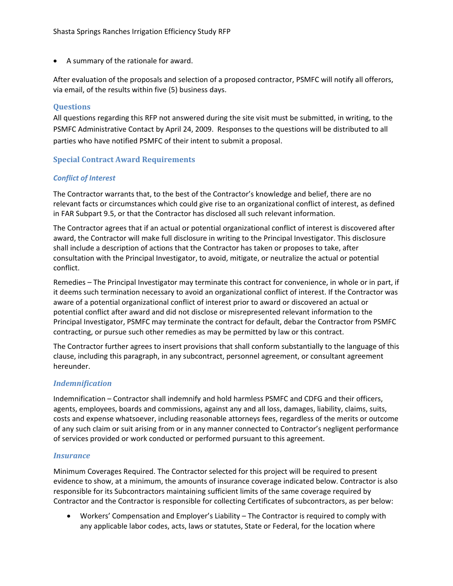<span id="page-15-0"></span>• A summary of the rationale for award.

After evaluation of the proposals and selection of a proposed contractor, PSMFC will notify all offerors, via email, of the results within five (5) business days.

#### **Questions**

All questions regarding this RFP not answered during the site visit must be submitted, in writing, to the PSMFC Administrative Contact by April 24, 2009. Responses to the questions will be distributed to all parties who have notified PSMFC of their intent to submit a proposal.

### **Special Contract Award Requirements**

#### *Conflict of Interest*

The Contractor warrants that, to the best of the Contractor's knowledge and belief, there are no relevant facts or circumstances which could give rise to an organizational conflict of interest, as defined in FAR Subpart 9.5, or that the Contractor has disclosed all such relevant information.

The Contractor agrees that if an actual or potential organizational conflict of interest is discovered after award, the Contractor will make full disclosure in writing to the Principal Investigator. This disclosure shall include a description of actions that the Contractor has taken or proposes to take, after consultation with the Principal Investigator, to avoid, mitigate, or neutralize the actual or potential conflict.

Remedies – The Principal Investigator may terminate this contract for convenience, in whole or in part, if it deems such termination necessary to avoid an organizational conflict of interest. If the Contractor was aware of a potential organizational conflict of interest prior to award or discovered an actual or potential conflict after award and did not disclose or misrepresented relevant information to the Principal Investigator, PSMFC may terminate the contract for default, debar the Contractor from PSMFC contracting, or pursue such other remedies as may be permitted by law or this contract.

The Contractor further agrees to insert provisions that shall conform substantially to the language of this clause, including this paragraph, in any subcontract, personnel agreement, or consultant agreement hereunder.

#### *Indemnification*

Indemnification – Contractor shall indemnify and hold harmless PSMFC and CDFG and their officers, agents, employees, boards and commissions, against any and all loss, damages, liability, claims, suits, costs and expense whatsoever, including reasonable attorneys fees, regardless of the merits or outcome of any such claim or suit arising from or in any manner connected to Contractor's negligent performance of services provided or work conducted or performed pursuant to this agreement.

#### *Insurance*

Minimum Coverages Required. The Contractor selected for this project will be required to present evidence to show, at a minimum, the amounts of insurance coverage indicated below. Contractor is also responsible for its Subcontractors maintaining sufficient limits of the same coverage required by Contractor and the Contractor is responsible for collecting Certificates of subcontractors, as per below:

• Workers' Compensation and Employer's Liability – The Contractor is required to comply with any applicable labor codes, acts, laws or statutes, State or Federal, for the location where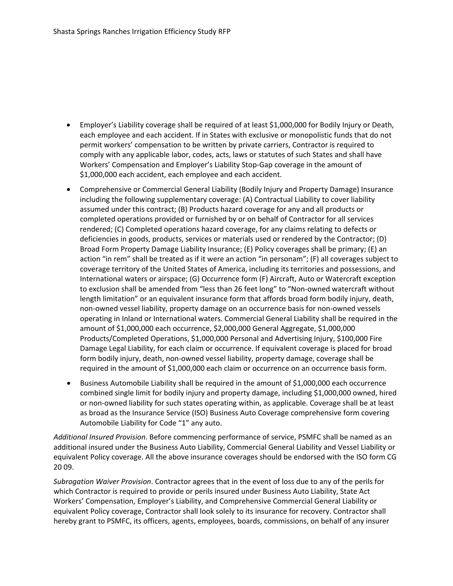- Employer's Liability coverage shall be required of at least \$1,000,000 for Bodily Injury or Death, each employee and each accident. If in States with exclusive or monopolistic funds that do not permit workers' compensation to be written by private carriers, Contractor is required to comply with any applicable labor, codes, acts, laws or statutes of such States and shall have Workers' Compensation and Employer's Liability Stop‐Gap coverage in the amount of \$1,000,000 each accident, each employee and each accident.
- Comprehensive or Commercial General Liability (Bodily Injury and Property Damage) Insurance including the following supplementary coverage: (A) Contractual Liability to cover liability assumed under this contract; (B) Products hazard coverage for any and all products or completed operations provided or furnished by or on behalf of Contractor for all services rendered; (C) Completed operations hazard coverage, for any claims relating to defects or deficiencies in goods, products, services or materials used or rendered by the Contractor; (D) Broad Form Property Damage Liability Insurance; (E) Policy coverages shall be primary; (E) an action "in rem" shall be treated as if it were an action "in personam"; (F) all coverages subject to coverage territory of the United States of America, including its territories and possessions, and International waters or airspace; (G) Occurrence form (F) Aircraft, Auto or Watercraft exception to exclusion shall be amended from "less than 26 feet long" to "Non-owned watercraft without length limitation" or an equivalent insurance form that affords broad form bodily injury, death, non‐owned vessel liability, property damage on an occurrence basis for non‐owned vessels operating in Inland or International waters. Commercial General Liability shall be required in the amount of \$1,000,000 each occurrence, \$2,000,000 General Aggregate, \$1,000,000 Products/Completed Operations, \$1,000,000 Personal and Advertising Injury, \$100,000 Fire Damage Legal Liability, for each claim or occurrence. If equivalent coverage is placed for broad form bodily injury, death, non-owned vessel liability, property damage, coverage shall be required in the amount of \$1,000,000 each claim or occurrence on an occurrence basis form.
- Business Automobile Liability shall be required in the amount of \$1,000,000 each occurrence combined single limit for bodily injury and property damage, including \$1,000,000 owned, hired or non-owned liability for such states operating within, as applicable. Coverage shall be at least as broad as the Insurance Service (ISO) Business Auto Coverage comprehensive form covering Automobile Liability for Code "1" any auto.

*Additional Insured Provision*. Before commencing performance of service, PSMFC shall be named as an additional insured under the Business Auto Liability, Commercial General Liability and Vessel Liability or equivalent Policy coverage. All the above insurance coverages should be endorsed with the ISO form CG 20 09.

*Subrogation Waiver Provision*. Contractor agrees that in the event of loss due to any of the perils for which Contractor is required to provide or perils insured under Business Auto Liability, State Act Workers' Compensation, Employer's Liability, and Comprehensive Commercial General Liability or equivalent Policy coverage, Contractor shall look solely to its insurance for recovery. Contractor shall hereby grant to PSMFC, its officers, agents, employees, boards, commissions, on behalf of any insurer